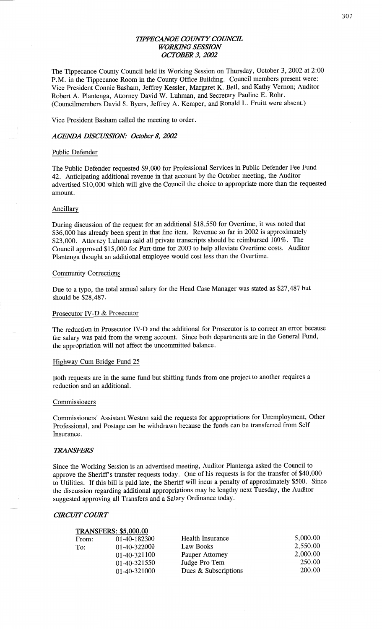## *TH'PECMNOE COUNTY COWCE*  **WORKING SESSION** *OCTOBER* 3, *2002'*

The Tippecanoe County Council held its Working Session on Thursday, October 3, 2002 at 2:00 P.M. in the **Tippecanoe Room** in the **County** Office Building. Council members present were: **Vice** President **Connie Basham,** Jeffrey Kessler, Margaret K. Bell, and Kathy **Vernon; Auditor**  Robert A. Plantenga, Attorney David W. **Luhman,** and Secretary Pauline E. Rohr. (Councilmembers David S. Byers, Jeffrey A. Kemper, and Ronald L. Fruitt were absent.)

Vice President **Basham** called the meeting to order.

## *AGENDA DISCUSSION: October* 8, *2002*

#### Public Defender

The Public Defender requested \$9,000 for Professional Services in Public Defender Fee **Fund**  42. Anticipating additional revenue in **that** account by the October meeting, the **Auditor**  advertised \$10,000 which will give the **Council** the choice to appropriate more **than** the requested amount.

#### **Ancillary**

During discussion of the request for an additional \$18,550 for Overtime, it was noted that \$36,000 has already been spent in **that** line item. Revenue so far in 2002 is approximately \$23,000. **Attorney Luhman** said all private transcripts should be reimbursed 100%. The **Council** approved \$15,000 for Part-time for 2003 to help alleviate Overtime costs. **Auditor**  Plantenga thought an additional employee would cost less **than** the Overtime.

#### **Community Corrections**

Due to **a** typo, the total **annual** salary for the **Head** Case Manager was stated as \$27,487 but **should** be \$28,487.

#### Prosecutor IV-D & Prosecutor

The **reduction** in Prosecutor IV-D and the **additional** for Prosecutor is to correct an error because the **salary** was paid from the wrong account. Since both departments are in the General Fund, the appropriation will not affect the **uncommitted** balance.

#### Highway Cum Bridge Fund 25

Both requests are in the **same fund** but shifting **funds** from one project to another requires <sup>a</sup> reduction and an additional.

## **Commissioners**

**Commissioners' Assistant Weston said** the requests for **appropriations** for **Unemployment,** Other Professional, and Postage can be withdrawn because the **funds** can be transferred from **Self**  Insurance.

#### **TRANSFERS**

Since the Working **Session** is an advertised meeting, Auditor Plantenga asked the **Council** to approve the Sheriff's transfer requests **today.** One of his requests is for the transfer of \$40,000 to Utilities. If this bill is paid late, the **Sheriff** will incur **a** penalty of **approximately** \$500. **Since**  the discussion regarding **additional** appropriations may be lengthy **next** Tuesday, the **Auditor**  suggested approving all **Transfers** and **a** Salary Ordinance today.

#### *CIRCUIT COWT*

|       | <b>TRANSFERS: \$5,000.00</b> |                      |          |
|-------|------------------------------|----------------------|----------|
| From: | 01-40-182300                 | Health Insurance     | 5,000.00 |
| To:   | 01-40-322000                 | Law Books            | 2,550.00 |
|       | 01-40-321100                 | Pauper Attorney      | 2,000.00 |
|       | 01-40-321550                 | Judge Pro Tem        | 250.00   |
|       | 01-40-321000                 | Dues & Subscriptions | 200.00   |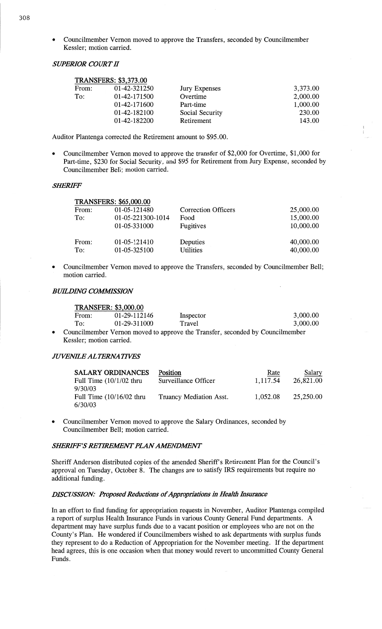**o** Councilmember Vernon moved to approve the Transfers, seconded by Councilmember Kessler; motion carried.

## *SUPERIOR COURT* II

|       | <b>TRANSFERS: \$3,373.00</b> |                      |          |
|-------|------------------------------|----------------------|----------|
| From: | 01-42-321250                 | <b>Jury Expenses</b> | 3,373.00 |
| To:   | 01-42-171500                 | Overtime             | 2,000.00 |
|       | 01-42-171600                 | Part-time            | 1,000.00 |
|       | 01-42-182100                 | Social Security      | 230.00   |
|       | 01-42-182200                 | Retirement           | 143.00   |

Auditor Plantenga corrected the Retirement **amount** to \$95 .00.

**0** Councilmember Vernon moved to approve the transfer of \$2,000 for Overtime, \$1,000 for Part-time, \$230 for Social Security, and \$95 for Retirement from Jury Expense, seconded by Councilmember Bell; motion carried.

## *SHERE'F*

| <b>TRANSFERS: \$65,000.00</b> |                   |                            |           |
|-------------------------------|-------------------|----------------------------|-----------|
| From:                         | 01-05-121480      | <b>Correction Officers</b> | 25,000.00 |
| To:                           | 01-05-221300-1014 | Food                       | 15,000.00 |
|                               | 01-05-331000      | Fugitives                  | 10,000.00 |
| From:                         | 01-05-121410      | Deputies                   | 40,000.00 |
| To:                           | 01-05-325100      | <b>Utilities</b>           | 40,000.00 |

Councilmember Vernon moved to approve the Transfers, seconded by Councilmember Bell; **motion** carried.

## **BUILDING COMMISSION**

|       | <b>TRANSFER: \$3,000.00</b> |           |                                                                               |
|-------|-----------------------------|-----------|-------------------------------------------------------------------------------|
| From: | 01-29-112146                | Inspector | 3,000.00                                                                      |
| To:   | 01-29-311000                | Travel    | 3.000.00                                                                      |
|       |                             |           | Councilmember Vernon moved to approve the Transfer, seconded by Councilmember |

**0** Councilmember Vernon moved to approve the Transfer, **seconded** by Councilmember Kessler; motion carried.

## *JUVENEE ALTERNA TIVES*

| <b>SALARY ORDINANCES</b>   | Position                | Rate     | Salary    |
|----------------------------|-------------------------|----------|-----------|
| Full Time $(10/1/02$ thru  | Surveillance Officer    | 1,117.54 | 26,821.00 |
| 9/30/03                    |                         |          |           |
| Full Time $(10/16/02$ thru | Truancy Mediation Asst. | 1,052.08 | 25,250.00 |
| 6/30/03                    |                         |          |           |

**0** Councilmember Vernon moved to approve the Salary **Ordinances,** seconded by Councilmember Bell; motion carried.

#### **SHERIFF'S RETIREMENT PLAN AMENDMENT**

Sheriff Anderson distributed copies of the amended Sheriff's Retirement **Plan** for the Council's approval on Tuesday, October  $\overline{8}$ . The changes are to satisfy IRS requirements but require no additional funding.

## **DISCUSSION: Proposed Reductions of Appropriations in Health Insurance**

In an effort to find funding for appropriation requests in November, Auditor Plantenga compiled a report of surplus Health Insurance Funds in various County General Fund departments. **<sup>A</sup>** department may have surplus **funds** due to **a vacant** position or employees who are not on the County's Plan. He wondered if Councilmembers wished to ask departments with surplus funds they represent to do a Reduction of Appropriation for the November meeting. If the department **head** agrees, this is one occasion when that money would revert to uncommitted County General Funds.